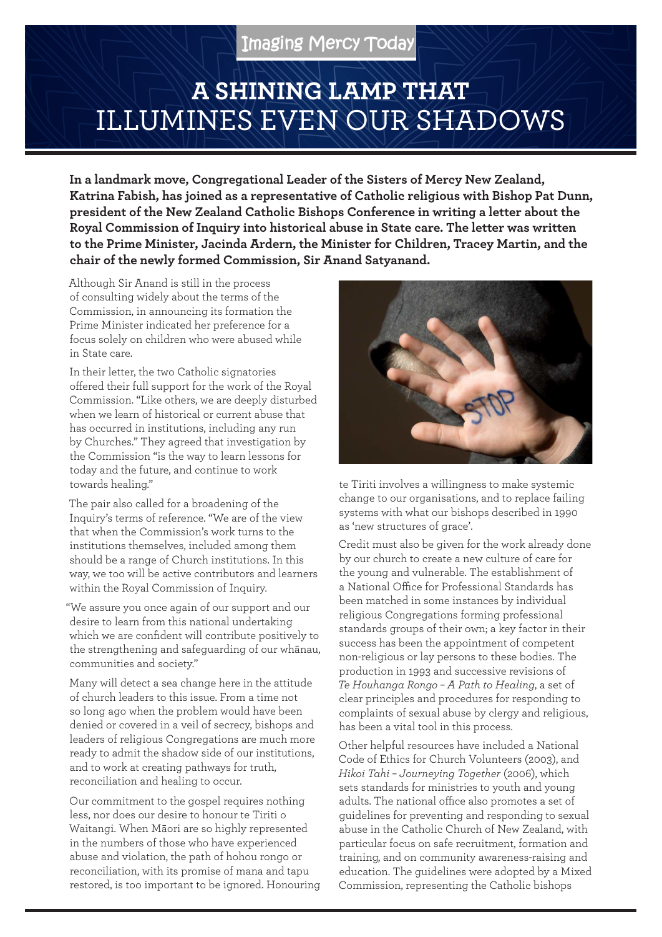## **A SHINING LAMP THAT**  ILLUMINES EVEN OUR SHADOWS

**In a landmark move, Congregational Leader of the Sisters of Mercy New Zealand, Katrina Fabish, has joined as a representative of Catholic religious with Bishop Pat Dunn, president of the New Zealand Catholic Bishops Conference in writing a letter about the Royal Commission of Inquiry into historical abuse in State care. The letter was written to the Prime Minister, Jacinda Ardern, the Minister for Children, Tracey Martin, and the chair of the newly formed Commission, Sir Anand Satyanand.**

Although Sir Anand is still in the process of consulting widely about the terms of the Commission, in announcing its formation the Prime Minister indicated her preference for a focus solely on children who were abused while in State care.

In their letter, the two Catholic signatories offered their full support for the work of the Royal Commission. "Like others, we are deeply disturbed when we learn of historical or current abuse that has occurred in institutions, including any run by Churches." They agreed that investigation by the Commission "is the way to learn lessons for today and the future, and continue to work towards healing."

The pair also called for a broadening of the Inquiry's terms of reference. "We are of the view that when the Commission's work turns to the institutions themselves, included among them should be a range of Church institutions. In this way, we too will be active contributors and learners within the Royal Commission of Inquiry.

"We assure you once again of our support and our desire to learn from this national undertaking which we are confident will contribute positively to the strengthening and safeguarding of our whānau, communities and society."

Many will detect a sea change here in the attitude of church leaders to this issue. From a time not so long ago when the problem would have been denied or covered in a veil of secrecy, bishops and leaders of religious Congregations are much more ready to admit the shadow side of our institutions, and to work at creating pathways for truth, reconciliation and healing to occur.

Our commitment to the gospel requires nothing less, nor does our desire to honour te Tiriti o Waitangi. When Māori are so highly represented in the numbers of those who have experienced abuse and violation, the path of hohou rongo or reconciliation, with its promise of mana and tapu restored, is too important to be ignored. Honouring



te Tiriti involves a willingness to make systemic change to our organisations, and to replace failing systems with what our bishops described in 1990 as 'new structures of grace'.

Credit must also be given for the work already done by our church to create a new culture of care for the young and vulnerable. The establishment of a National Office for Professional Standards has been matched in some instances by individual religious Congregations forming professional standards groups of their own; a key factor in their success has been the appointment of competent non-religious or lay persons to these bodies. The production in 1993 and successive revisions of *Te Houhanga Rongo – A Path to Healing*, a set of clear principles and procedures for responding to complaints of sexual abuse by clergy and religious, has been a vital tool in this process.

Other helpful resources have included a National Code of Ethics for Church Volunteers (2003), and *Hikoi Tahi – Journeying Together* (2006), which sets standards for ministries to youth and young adults. The national office also promotes a set of guidelines for preventing and responding to sexual abuse in the Catholic Church of New Zealand, with particular focus on safe recruitment, formation and training, and on community awareness-raising and education. The guidelines were adopted by a Mixed Commission, representing the Catholic bishops